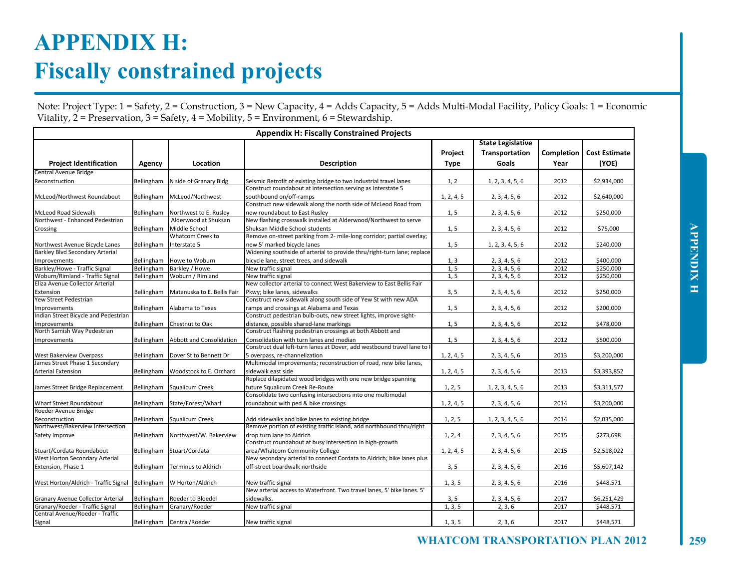## **WHATCOM TRANSPORTATION PLAN 2012 259**

| Ē |
|---|
|   |
|   |
|   |
| ٦ |
|   |
| Ē |
|   |
| Ŝ |
|   |
|   |
|   |

## **APPENDIX H: Fiscally constrained projects**

Note: Project Type: 1 = Safety, 2 = Construction, 3 = New Capacity, 4 = Adds Capacity, 5 = Adds Multi-Modal Facility, Policy Goals: 1 = Economic Vitality,  $2 =$  Preservation,  $3 =$  Safety,  $4 =$  Mobility,  $5 =$  Environment,  $6 =$  Stewardship.

| <b>Appendix H: Fiscally Constrained Projects</b> |            |                                     |                                                                                         |                        |                                                     |                    |                               |  |  |
|--------------------------------------------------|------------|-------------------------------------|-----------------------------------------------------------------------------------------|------------------------|-----------------------------------------------------|--------------------|-------------------------------|--|--|
| <b>Project Identification</b>                    | Agency     | Location                            | <b>Description</b>                                                                      | Project<br><b>Type</b> | <b>State Legislative</b><br>Transportation<br>Goals | Completion<br>Year | <b>Cost Estimate</b><br>(YOE) |  |  |
| Central Avenue Bridge                            |            |                                     |                                                                                         |                        |                                                     |                    |                               |  |  |
| Reconstruction                                   | Bellingham | N side of Granary Bldg              | Seismic Retrofit of existing bridge to two industrial travel lanes                      | 1, 2                   | 1, 2, 3, 4, 5, 6                                    | 2012               | \$2,934,000                   |  |  |
| McLeod/Northwest Roundabout                      | Bellingham | McLeod/Northwest                    | Construct roundabout at intersection serving as Interstate 5<br>southbound on/off-ramps | 1, 2, 4, 5             | 2, 3, 4, 5, 6                                       | 2012               | \$2,640,000                   |  |  |
|                                                  |            |                                     | Construct new sidewalk along the north side of McLeod Road from                         |                        |                                                     |                    |                               |  |  |
| <b>McLeod Road Sidewalk</b>                      | Bellingham | Northwest to E. Rusley              | new roundabout to East Rusley                                                           | 1, 5                   | 2, 3, 4, 5, 6                                       | 2012               | \$250,000                     |  |  |
| Northwest - Enhanced Pedestrian                  |            | Alderwood at Shuksan                | New flashing crosswalk installed at Alderwood/Northwest to serve                        |                        |                                                     |                    |                               |  |  |
| Crossing                                         | Bellingham | Middle School                       | Shuksan Middle School students                                                          | 1, 5                   | 2, 3, 4, 5, 6                                       | 2012               | \$75,000                      |  |  |
|                                                  |            | <b>Whatcom Creek to</b>             | Remove on-street parking from 2- mile-long corridor; partial overlay;                   |                        |                                                     |                    |                               |  |  |
| Northwest Avenue Bicycle Lanes                   | Bellingham | Interstate 5                        | new 5' marked bicycle lanes                                                             | 1, 5                   | 1, 2, 3, 4, 5, 6                                    | 2012               | \$240,000                     |  |  |
| Barkley Blvd Secondary Arterial                  |            |                                     | Widening southside of arterial to provide thru/right-turn lane; replace                 |                        |                                                     |                    |                               |  |  |
| Improvements                                     | Bellingham | <b>Howe to Woburn</b>               | bicycle lane, street trees, and sidewalk                                                | 1, 3                   | 2, 3, 4, 5, 6                                       | 2012               | \$400.000                     |  |  |
| Barkley/Howe - Traffic Signal                    | Bellingham | Barkley / Howe                      | New traffic signal                                                                      | 1, 5                   | 2, 3, 4, 5, 6                                       | 2012               | \$250.000                     |  |  |
| Woburn/Rimland - Traffic Signal                  | Bellingham | Woburn / Rimland                    | New traffic signal                                                                      | 1, 5                   | 2, 3, 4, 5, 6                                       | 2012               | \$250,000                     |  |  |
| Eliza Avenue Collector Arterial                  |            |                                     | New collector arterial to connect West Bakerview to East Bellis Fair                    |                        |                                                     |                    |                               |  |  |
| Extension                                        | Bellingham | Matanuska to E. Bellis Fair         | Pkwy; bike lanes, sidewalks                                                             | 3, 5                   | 2, 3, 4, 5, 6                                       | 2012               | \$250,000                     |  |  |
| Yew Street Pedestrian                            |            |                                     | Construct new sidewalk along south side of Yew St with new ADA                          |                        |                                                     |                    |                               |  |  |
| Improvements                                     |            | Bellingham Alabama to Texas         | ramps and crossings at Alabama and Texas                                                | 1, 5                   | 2, 3, 4, 5, 6                                       | 2012               | \$200,000                     |  |  |
| Indian Street Bicycle and Pedestrian             |            |                                     | Construct pedestrian bulb-outs, new street lights, improve sight-                       |                        |                                                     |                    |                               |  |  |
| Improvements                                     |            | Bellingham Chestnut to Oak          | distance, possible shared-lane markings                                                 | 1, 5                   | 2, 3, 4, 5, 6                                       | 2012               | \$478,000                     |  |  |
| North Samish Way Pedestrian                      |            |                                     | Construct flashing pedestrian crossings at both Abbott and                              |                        |                                                     |                    |                               |  |  |
| Improvements                                     |            | Bellingham Abbott and Consolidation | Consolidation with turn lanes and median                                                | 1, 5                   | 2, 3, 4, 5, 6                                       | 2012               | \$500,000                     |  |  |
|                                                  |            |                                     | Construct dual left-turn lanes at Dover, add westbound travel lane to I                 |                        |                                                     |                    |                               |  |  |
| West Bakerview Overpass                          | Bellingham | Dover St to Bennett Dr              | 5 overpass, re-channelization                                                           | 1, 2, 4, 5             | 2, 3, 4, 5, 6                                       | 2013               | \$3,200,000                   |  |  |
| James Street Phase 1 Secondary                   |            |                                     | Multimodal improvements; reconstruction of road, new bike lanes,                        |                        |                                                     |                    |                               |  |  |
| <b>Arterial Extension</b>                        | Bellingham | Woodstock to E. Orchard             | sidewalk east side                                                                      | 1, 2, 4, 5             | 2, 3, 4, 5, 6                                       | 2013               | \$3,393,852                   |  |  |
|                                                  |            |                                     | Replace dilapidated wood bridges with one new bridge spanning                           |                        |                                                     |                    |                               |  |  |
| James Street Bridge Replacement                  | Bellingham | Squalicum Creek                     | future Squalicum Creek Re-Route                                                         | 1, 2, 5                | 1, 2, 3, 4, 5, 6                                    | 2013               | \$3,311,577                   |  |  |
|                                                  |            |                                     | Consolidate two confusing intersections into one multimodal                             |                        |                                                     |                    |                               |  |  |
| Wharf Street Roundabout                          |            | Bellingham State/Forest/Wharf       | roundabout with ped & bike crossings                                                    | 1, 2, 4, 5             | 2, 3, 4, 5, 6                                       | 2014               | \$3,200,000                   |  |  |
| Roeder Avenue Bridge                             |            |                                     |                                                                                         |                        |                                                     |                    |                               |  |  |
| Reconstruction                                   |            | Bellingham Squalicum Creek          | Add sidewalks and bike lanes to existing bridge                                         | 1, 2, 5                | 1, 2, 3, 4, 5, 6                                    | 2014               | \$2,035,000                   |  |  |
| Northwest/Bakerview Intersection                 |            |                                     | Remove portion of existing traffic island, add northbound thru/right                    |                        |                                                     |                    |                               |  |  |
| Safety Improve                                   | Bellingham | Northwest/W. Bakerview              | drop turn lane to Aldrich                                                               | 1, 2, 4                | 2, 3, 4, 5, 6                                       | 2015               | \$273,698                     |  |  |
|                                                  |            |                                     | Construct roundabout at busy intersection in high-growth                                |                        |                                                     |                    |                               |  |  |
| Stuart/Cordata Roundabout                        | Bellingham | Stuart/Cordata                      | area/Whatcom Community College                                                          | 1, 2, 4, 5             | 2, 3, 4, 5, 6                                       | 2015               | \$2,518,022                   |  |  |
| West Horton Secondary Arterial                   |            |                                     | New secondary arterial to connect Cordata to Aldrich; bike lanes plus                   |                        |                                                     |                    |                               |  |  |
| Extension, Phase 1                               | Bellingham | <b>Terminus to Aldrich</b>          | off-street boardwalk northside                                                          | 3, 5                   | 2, 3, 4, 5, 6                                       | 2016               | \$5,607,142                   |  |  |
|                                                  |            |                                     |                                                                                         |                        |                                                     |                    |                               |  |  |
| West Horton/Aldrich - Traffic Signal             | Bellingham | W Horton/Aldrich                    | New traffic signal                                                                      | 1, 3, 5                | 2, 3, 4, 5, 6                                       | 2016               | \$448,571                     |  |  |
|                                                  |            |                                     | New arterial access to Waterfront. Two travel lanes, 5' bike lanes. 5'                  |                        |                                                     |                    |                               |  |  |
| Granary Avenue Collector Arterial                | Bellingham | Roeder to Bloedel                   | sidewalks.                                                                              | 3, 5                   | 2, 3, 4, 5, 6                                       | 2017               | \$6,251,429                   |  |  |
| Granary/Roeder - Traffic Signal                  | Bellingham | Granary/Roeder                      | New traffic signal                                                                      | 1, 3, 5                | 2, 3, 6                                             | 2017               | \$448,571                     |  |  |
| Central Avenue/Roeder - Traffic                  |            |                                     |                                                                                         |                        |                                                     |                    |                               |  |  |
| Signal                                           |            | Bellingham Central/Roeder           | New traffic signal                                                                      | 1, 3, 5                | 2, 3, 6                                             | 2017               | \$448,571                     |  |  |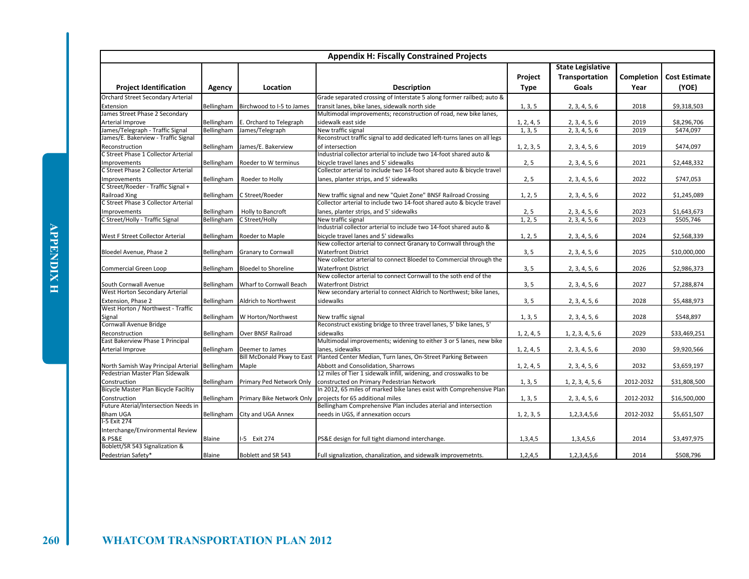|                                                         |               |                                   | <b>Appendix H: Fiscally Constrained Projects</b>                                                  |                        |                                                     |                    |                               |
|---------------------------------------------------------|---------------|-----------------------------------|---------------------------------------------------------------------------------------------------|------------------------|-----------------------------------------------------|--------------------|-------------------------------|
| <b>Project Identification</b>                           | Agency        | Location                          | <b>Description</b>                                                                                | Project<br><b>Type</b> | <b>State Legislative</b><br>Transportation<br>Goals | Completion<br>Year | <b>Cost Estimate</b><br>(YOE) |
| Orchard Street Secondary Arterial                       |               |                                   | Grade separated crossing of Interstate 5 along former railbed; auto &                             |                        |                                                     |                    |                               |
| Extension                                               | Bellingham    | Birchwood to I-5 to James         | transit lanes, bike lanes, sidewalk north side                                                    | 1, 3, 5                | 2, 3, 4, 5, 6                                       | 2018               | \$9,318,503                   |
| James Street Phase 2 Secondary                          |               |                                   | Multimodal improvements; reconstruction of road, new bike lanes,                                  |                        |                                                     |                    |                               |
| Arterial Improve                                        | Bellingham    | E. Orchard to Telegraph           | sidewalk east side                                                                                | 1, 2, 4, 5             | 2, 3, 4, 5, 6                                       | 2019               | \$8,296,706                   |
| James/Telegraph - Traffic Signal                        | Bellingham    | James/Telegraph                   | New traffic signal                                                                                | 1, 3, 5                | 2, 3, 4, 5, 6                                       | 2019               | \$474.097                     |
| James/E. Bakerview - Traffic Signal                     |               |                                   | Reconstruct traffic signal to add dedicated left-turns lanes on all legs                          |                        |                                                     |                    |                               |
| Reconstruction                                          | Bellingham    | James/E. Bakerview                | of intersection                                                                                   | 1, 2, 3, 5             | 2, 3, 4, 5, 6                                       | 2019               | \$474,097                     |
| C Street Phase 1 Collector Arterial                     |               |                                   | Industrial collector arterial to include two 14-foot shared auto &                                |                        |                                                     |                    |                               |
| <b>Improvements</b>                                     | Bellingham    | Roeder to W terminus              | bicycle travel lanes and 5' sidewalks                                                             | 2, 5                   | 2, 3, 4, 5, 6                                       | 2021               | \$2,448,332                   |
| C Street Phase 2 Collector Arterial                     |               |                                   | Collector arterial to include two 14-foot shared auto & bicycle travel                            |                        |                                                     |                    |                               |
| Improvements                                            | Bellingham    | Roeder to Holly                   | lanes, planter strips, and 5' sidewalks                                                           | 2, 5                   | 2, 3, 4, 5, 6                                       | 2022               | \$747,053                     |
| C Street/Roeder - Traffic Signal +                      |               |                                   |                                                                                                   |                        |                                                     |                    |                               |
| <b>Railroad Xing</b>                                    | Bellingham    | C Street/Roeder                   | New traffic signal and new "Quiet Zone" BNSF Railroad Crossing                                    | 1, 2, 5                | 2, 3, 4, 5, 6                                       | 2022               | \$1,245,089                   |
| C Street Phase 3 Collector Arterial                     |               |                                   | Collector arterial to include two 14-foot shared auto & bicycle travel                            |                        |                                                     |                    |                               |
| <b>Improvements</b>                                     | Bellingham    | Holly to Bancroft                 | lanes, planter strips, and 5' sidewalks                                                           | 2, 5                   | 2, 3, 4, 5, 6                                       | 2023               | \$1,643,673                   |
| C Street/Holly - Traffic Signal                         | Bellingham    | C Street/Holly                    | New traffic signal                                                                                | 1, 2, 5                | 2, 3, 4, 5, 6                                       | 2023               | \$505,746                     |
|                                                         |               |                                   | Industrial collector arterial to include two 14-foot shared auto &                                |                        |                                                     |                    |                               |
| West F Street Collector Arterial                        | Bellingham    | Roeder to Maple                   | bicycle travel lanes and 5' sidewalks                                                             | 1, 2, 5                | 2, 3, 4, 5, 6                                       | 2024               | \$2,568,339                   |
|                                                         |               |                                   | New collector arterial to connect Granary to Cornwall through the                                 |                        |                                                     |                    |                               |
| Bloedel Avenue, Phase 2                                 | Bellingham    | <b>Granary to Cornwall</b>        | <b>Waterfront District</b>                                                                        | 3, 5                   | 2, 3, 4, 5, 6                                       | 2025               | \$10,000,000                  |
|                                                         |               |                                   | New collector arterial to connect Bloedel to Commercial through the                               |                        |                                                     |                    |                               |
| Commercial Green Loop                                   | Bellingham    | <b>Bloedel to Shoreline</b>       | <b>Waterfront District</b>                                                                        | 3, 5                   | 2, 3, 4, 5, 6                                       | 2026               | \$2,986,373                   |
|                                                         |               |                                   | New collector arterial to connect Cornwall to the soth end of the                                 |                        |                                                     |                    |                               |
| South Cornwall Avenue<br>West Horton Secondary Arterial | Bellingham    | Wharf to Cornwall Beach           | <b>Waterfront District</b><br>New secondary arterial to connect Aldrich to Northwest; bike lanes, | 3, 5                   | 2, 3, 4, 5, 6                                       | 2027               | \$7,288,874                   |
|                                                         |               |                                   |                                                                                                   |                        |                                                     |                    |                               |
| Extension, Phase 2<br>West Horton / Northwest - Traffic | Bellingham    | Aldrich to Northwest              | sidewalks                                                                                         | 3, 5                   | 2, 3, 4, 5, 6                                       | 2028               | \$5,488,973                   |
|                                                         |               |                                   |                                                                                                   |                        |                                                     | 2028               |                               |
| Signal<br>Cornwall Avenue Bridge                        | Bellingham    | W Horton/Northwest                | New traffic signal<br>Reconstruct existing bridge to three travel lanes, 5' bike lanes, 5'        | 1, 3, 5                | 2, 3, 4, 5, 6                                       |                    | \$548,897                     |
| Reconstruction                                          |               | Over BNSF Railroad                | sidewalks                                                                                         | 1, 2, 4, 5             |                                                     | 2029               | \$33,469,251                  |
| East Bakerview Phase 1 Principal                        | Bellingham    |                                   | Multimodal improvements; widening to either 3 or 5 lanes, new bike                                |                        | 1, 2, 3, 4, 5, 6                                    |                    |                               |
| Arterial Improve                                        |               | Bellingham Deemer to James        | lanes, sidewalks                                                                                  | 1, 2, 4, 5             | 2, 3, 4, 5, 6                                       | 2030               | \$9,920,566                   |
|                                                         |               | <b>Bill McDonald Pkwy to East</b> | Planted Center Median, Turn lanes, On-Street Parking Between                                      |                        |                                                     |                    |                               |
| North Samish Way Principal Arterial                     | Bellingham    | Maple                             | Abbott and Consolidation. Sharrows                                                                | 1, 2, 4, 5             | 2, 3, 4, 5, 6                                       | 2032               | \$3,659,197                   |
| Pedestrian Master Plan Sidewalk                         |               |                                   | 12 miles of Tier 1 sidewalk infill, widening, and crosswalks to be                                |                        |                                                     |                    |                               |
| Construction                                            | Bellingham    | Primary Ped Network Only          | constructed on Primary Pedestrian Network                                                         | 1, 3, 5                | 1, 2, 3, 4, 5, 6                                    | 2012-2032          | \$31,808,500                  |
| Bicycle Master Plan Bicycle Faciltiy                    |               |                                   | In 2012, 65 miles of marked bike lanes exist with Comprehensive Plan                              |                        |                                                     |                    |                               |
| Construction                                            | Bellingham    | Primary Bike Network Only         | projects for 65 additional miles                                                                  | 1, 3, 5                | 2, 3, 4, 5, 6                                       | 2012-2032          | \$16,500,000                  |
| Future Aterial/Intersection Needs in                    |               |                                   | Bellingham Comprehensive Plan includes aterial and intersection                                   |                        |                                                     |                    |                               |
| <b>Bham UGA</b>                                         | Bellingham    | City and UGA Annex                | needs in UGS, if annexation occurs                                                                | 1, 2, 3, 5             | 1,2,3,4,5,6                                         | 2012-2032          | \$5,651,507                   |
| I-5 Exit 274                                            |               |                                   |                                                                                                   |                        |                                                     |                    |                               |
| Interchange/Environmental Review                        |               |                                   |                                                                                                   |                        |                                                     |                    |                               |
| & PS&E                                                  | Blaine        | I-5 Exit 274                      | PS&E design for full tight diamond interchange.                                                   | 1,3,4,5                | 1,3,4,5,6                                           | 2014               | \$3,497,975                   |
| Boblett/SR 543 Signalization &                          |               |                                   |                                                                                                   |                        |                                                     |                    |                               |
| Pedestrian Safety*                                      | <b>Blaine</b> | Boblett and SR 543                | Full signalization, chanalization, and sidewalk improvemetnts.                                    | 1,2,4,5                | 1,2,3,4,5,6                                         | 2014               | \$508,796                     |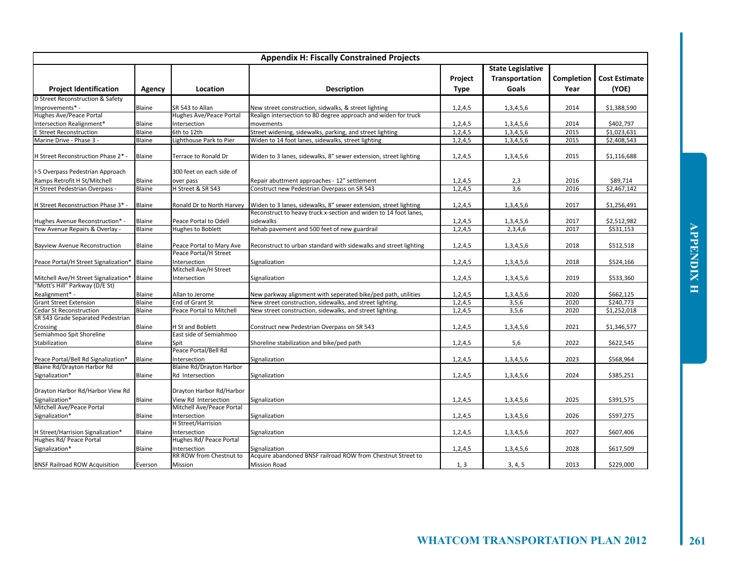| <b>Appendix H: Fiscally Constrained Projects</b> |               |                                                   |                                                                  |                        |                                                     |                    |                               |  |  |
|--------------------------------------------------|---------------|---------------------------------------------------|------------------------------------------------------------------|------------------------|-----------------------------------------------------|--------------------|-------------------------------|--|--|
| <b>Project Identification</b>                    | Agency        | Location                                          | <b>Description</b>                                               | Project<br><b>Type</b> | <b>State Legislative</b><br>Transportation<br>Goals | Completion<br>Year | <b>Cost Estimate</b><br>(YOE) |  |  |
| D Street Reconstruction & Safety                 |               |                                                   |                                                                  |                        |                                                     |                    |                               |  |  |
| Improvements* -                                  | Blaine        | SR 543 to Allan                                   | New street construction, sidwalks, & street lighting             | 1, 2, 4, 5             | 1,3,4,5,6                                           | 2014               | \$1,388,590                   |  |  |
| Hughes Ave/Peace Portal                          |               | Hughes Ave/Peace Portal                           | Realign intersection to 80 degree approach and widen for truck   |                        |                                                     |                    |                               |  |  |
| Intersection Realignment*                        | Blaine        | Intersection                                      | movements                                                        | 1,2,4,5                | 1,3,4,5,6                                           | 2014               | \$402,797                     |  |  |
| <b>E Street Reconstruction</b>                   | Blaine        | 6th to 12th                                       | Street widening, sidewalks, parking, and street lighting         | 1,2,4,5                | 1,3,4,5,6                                           | 2015               | \$1.023.631                   |  |  |
| Marine Drive - Phase 3 -                         | Blaine        | ighthouse Park to Pier                            | Widen to 14 foot lanes, sidewalks, street lighting               | 1,2,4,5                | 1,3,4,5,6                                           | 2015               | \$2,408,543                   |  |  |
| H Street Reconstruction Phase 2* -               | Blaine        | Terrace to Ronald Dr                              | Widen to 3 lanes, sidewalks, 8" sewer extension, street lighting | 1,2,4,5                | 1,3,4,5,6                                           | 2015               | \$1,116,688                   |  |  |
| I-5 Overpass Pedestrian Approach                 |               | 300 feet on each side of                          |                                                                  |                        |                                                     |                    |                               |  |  |
| Ramps Retrofit H St/Mitchell                     | Blaine        | over pass                                         | Repair abuttment approaches - 12" settlement                     | 1,2,4,5                | 2,3<br>3.6                                          | 2016               | \$89,714                      |  |  |
| H Street Pedestrian Overpass -                   | Blaine        | H Street & SR 543                                 | Construct new Pedestrian Overpass on SR 543                      | 1,2,4,5                |                                                     | 2016               | \$2,467,142                   |  |  |
| H Street Reconstruction Phase 3* -               | Blaine        | Ronald Dr to North Harvey                         | Widen to 3 lanes, sidewalks, 8" sewer extension, street lighting | 1,2,4,5                | 1,3,4,5,6                                           | 2017               | \$1,256,491                   |  |  |
|                                                  |               |                                                   | Reconstruct to heavy truck x-section and widen to 14 foot lanes, |                        |                                                     |                    |                               |  |  |
| Hughes Avenue Reconstruction* -                  | Blaine        | Peace Portal to Odell                             | sidewalks                                                        | 1, 2, 4, 5             | 1,3,4,5,6                                           | 2017               | \$2,512,982                   |  |  |
| Yew Avenue Repairs & Overlay -                   | Blaine        | Hughes to Boblett                                 | Rehab pavement and 500 feet of new guardrail                     | 1, 2, 4, 5             | 2,3,4,6                                             | 2017               | \$531,153                     |  |  |
| <b>Bayview Avenue Reconstruction</b>             | <b>Blaine</b> | Peace Portal to Mary Ave<br>Peace Portal/H Street | Reconstruct to urban standard with sidewalks and street lighting | 1, 2, 4, 5             | 1,3,4,5,6                                           | 2018               | \$512,518                     |  |  |
|                                                  |               | ntersection                                       |                                                                  |                        |                                                     | 2018               | \$524,166                     |  |  |
| Peace Portal/H Street Signalization* Blaine      |               | Mitchell Ave/H Street                             | Signalization                                                    | 1,2,4,5                | 1,3,4,5,6                                           |                    |                               |  |  |
| Mitchell Ave/H Street Signalization* Blaine      |               | ntersection                                       | Signalization                                                    | 1,2,4,5                | 1,3,4,5,6                                           | 2019               | \$533,360                     |  |  |
| "Mott's Hill" Parkway (D/E St)                   |               |                                                   |                                                                  |                        |                                                     |                    |                               |  |  |
| Realignment* -                                   | Blaine        | Allan to Jerome                                   | New parkway alignment with seperated bike/ped path, utilities    | 1,2,4,5                | 1,3,4,5,6                                           | 2020               | \$662,125                     |  |  |
| <b>Grant Street Extension</b>                    | Blaine        | End of Grant St                                   | New street construction, sidewalks, and street lighting.         | 1, 2, 4, 5             | 3,5,6                                               | 2020               | \$240,773                     |  |  |
| <b>Cedar St Reconstruction</b>                   | Blaine        | Peace Portal to Mitchell                          | New street construction, sidewalks, and street lighting.         | 1,2,4,5                | 3,5,6                                               | 2020               | \$1,252,018                   |  |  |
| SR 543 Grade Separated Pedestrian                |               |                                                   |                                                                  |                        |                                                     |                    |                               |  |  |
| Crossing                                         | Blaine        | H St and Boblett                                  | Construct new Pedestrian Overpass on SR 543                      | 1,2,4,5                | 1,3,4,5,6                                           | 2021               | \$1,346,577                   |  |  |
| Semiahmoo Spit Shoreline                         |               | East side of Semiahmoo                            |                                                                  |                        |                                                     |                    |                               |  |  |
| Stabilization                                    | Blaine        | Spit                                              | Shoreline stabilization and bike/ped path                        | 1,2,4,5                | 5,6                                                 | 2022               | \$622,545                     |  |  |
|                                                  |               | Peace Portal/Bell Rd                              |                                                                  |                        |                                                     |                    |                               |  |  |
| Peace Portal/Bell Rd Signalization*              | Blaine        | Intersection                                      | Signalization                                                    | 1,2,4,5                | 1,3,4,5,6                                           | 2023               | \$568,964                     |  |  |
| Blaine Rd/Drayton Harbor Rd                      |               | <b>Blaine Rd/Drayton Harbor</b>                   |                                                                  |                        |                                                     |                    |                               |  |  |
| Signalization*                                   | Blaine        | Rd Intersection                                   | Signalization                                                    | 1,2,4,5                | 1,3,4,5,6                                           | 2024               | \$385,251                     |  |  |
| Drayton Harbor Rd/Harbor View Rd                 |               | Drayton Harbor Rd/Harbor                          |                                                                  |                        |                                                     |                    |                               |  |  |
| Signalization*                                   | Blaine        | View Rd Intersection                              | Signalization                                                    | 1,2,4,5                | 1,3,4,5,6                                           | 2025               | \$391,575                     |  |  |
| Mitchell Ave/Peace Portal                        |               | Mitchell Ave/Peace Portal                         |                                                                  |                        |                                                     |                    |                               |  |  |
| Signalization*                                   | Blaine        | Intersection                                      | Signalization                                                    | 1,2,4,5                | 1,3,4,5,6                                           | 2026               | \$597,275                     |  |  |
|                                                  |               | <b>H</b> Street/Harrision                         |                                                                  |                        |                                                     |                    |                               |  |  |
| H Street/Harrision Signalization*                | Blaine        | Intersection                                      | Signalization                                                    | 1,2,4,5                | 1,3,4,5,6                                           | 2027               | \$607,406                     |  |  |
| Hughes Rd/ Peace Portal                          |               | Hughes Rd/ Peace Portal                           |                                                                  |                        |                                                     |                    |                               |  |  |
| Signalization*                                   | Blaine        | Intersection                                      | Signalization                                                    | 1,2,4,5                | 1,3,4,5,6                                           | 2028               | \$617,509                     |  |  |
|                                                  |               | RR ROW from Chestnut to                           | Acquire abandoned BNSF railroad ROW from Chestnut Street to      |                        |                                                     |                    |                               |  |  |
| <b>BNSF Railroad ROW Acquisition</b>             | Everson       | Mission                                           | <b>Mission Road</b>                                              | 1, 3                   | 3, 4, 5                                             | 2013               | \$229,000                     |  |  |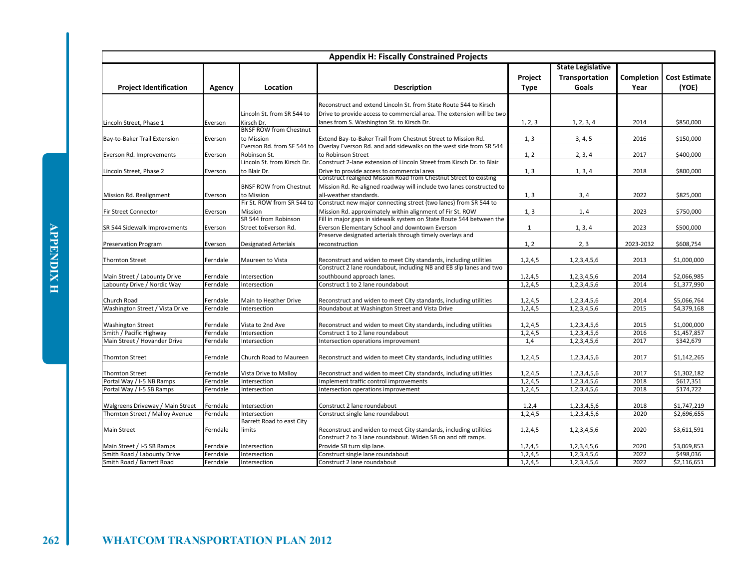| <b>Appendix H: Fiscally Constrained Projects</b> |          |                                             |                                                                       |                        |                                                     |                    |                               |  |  |
|--------------------------------------------------|----------|---------------------------------------------|-----------------------------------------------------------------------|------------------------|-----------------------------------------------------|--------------------|-------------------------------|--|--|
| <b>Project Identification</b>                    | Agency   | Location                                    | <b>Description</b>                                                    | Project<br><b>Type</b> | <b>State Legislative</b><br>Transportation<br>Goals | Completion<br>Year | <b>Cost Estimate</b><br>(YOE) |  |  |
|                                                  |          |                                             |                                                                       |                        |                                                     |                    |                               |  |  |
|                                                  |          |                                             | Reconstruct and extend Lincoln St. from State Route 544 to Kirsch     |                        |                                                     |                    |                               |  |  |
|                                                  |          | Lincoln St. from SR 544 to                  | Drive to provide access to commercial area. The extension will be two |                        |                                                     |                    |                               |  |  |
| Lincoln Street, Phase 1                          | Everson  | Kirsch Dr.<br><b>BNSF ROW from Chestnut</b> | lanes from S. Washington St. to Kirsch Dr.                            | 1, 2, 3                | 1, 2, 3, 4                                          | 2014               | \$850,000                     |  |  |
| Bay-to-Baker Trail Extension                     | Everson  | to Mission                                  | Extend Bay-to-Baker Trail from Chestnut Street to Mission Rd.         | 1, 3                   | 3, 4, 5                                             | 2016               | \$150,000                     |  |  |
|                                                  |          | Everson Rd. from SF 544 to                  | Overlay Everson Rd. and add sidewalks on the west side from SR 544    |                        |                                                     |                    |                               |  |  |
| Everson Rd. Improvements                         | Everson  | Robinson St.                                | to Robinson Street                                                    | 1, 2                   | 2, 3, 4                                             | 2017               | \$400,000                     |  |  |
|                                                  |          | Lincoln St. from Kirsch Dr.                 | Construct 2-lane extension of Lincoln Street from Kirsch Dr. to Blair |                        |                                                     |                    |                               |  |  |
| Lincoln Street, Phase 2                          | Everson  | to Blair Dr.                                | Drive to provide access to commercial area                            | 1, 3                   | 1, 3, 4                                             | 2018               | \$800,000                     |  |  |
|                                                  |          |                                             | Construct realigned Mission Road from Chestnut Street to existing     |                        |                                                     |                    |                               |  |  |
|                                                  |          | <b>BNSF ROW from Chestnut</b>               | Mission Rd. Re-aligned roadway will include two lanes constructed to  |                        |                                                     |                    |                               |  |  |
| Mission Rd. Realignment                          | Everson  | to Mission                                  | all-weather standards.                                                | 1, 3                   | 3, 4                                                | 2022               | \$825,000                     |  |  |
|                                                  |          | Fir St. ROW from SR 544 to                  | Construct new major connecting street (two lanes) from SR 544 to      |                        |                                                     |                    |                               |  |  |
| <b>Fir Street Connector</b>                      | Everson  | Mission                                     | Mission Rd. approximately within alignment of Fir St. ROW             | 1, 3                   | 1, 4                                                | 2023               | \$750,000                     |  |  |
|                                                  |          | SR 544 from Robinson                        | Fill in major gaps in sidewalk system on State Route 544 between the  |                        |                                                     |                    |                               |  |  |
| SR 544 Sidewalk Improvements                     | Everson  | Street toEverson Rd.                        | Everson Elementary School and downtown Everson                        | $\mathbf{1}$           | 1, 3, 4                                             | 2023               | \$500,000                     |  |  |
|                                                  |          |                                             | Preserve designated arterials through timely overlays and             |                        |                                                     |                    |                               |  |  |
| Preservation Program                             | Everson  | <b>Designated Arterials</b>                 | reconstruction                                                        | 1, 2                   | 2, 3                                                | 2023-2032          | \$608,754                     |  |  |
|                                                  |          |                                             |                                                                       |                        |                                                     |                    |                               |  |  |
| <b>Thornton Street</b>                           | Ferndale | Maureen to Vista                            | Reconstruct and widen to meet City standards, including utilities     | 1, 2, 4, 5             | 1,2,3,4,5,6                                         | 2013               | \$1,000,000                   |  |  |
|                                                  |          |                                             | Construct 2 lane roundabout, including NB and EB slip lanes and two   |                        |                                                     |                    |                               |  |  |
| Main Street / Labounty Drive                     | Ferndale | Intersection                                | southbound approach lanes.                                            | 1, 2, 4, 5             | 1,2,3,4,5,6                                         | 2014               | \$2,066,985                   |  |  |
| Labounty Drive / Nordic Way                      | Ferndale | Intersection                                | Construct 1 to 2 lane roundabout                                      | 1,2,4,5                | 1,2,3,4,5,6                                         | 2014               | \$1,377,990                   |  |  |
|                                                  |          |                                             |                                                                       |                        |                                                     |                    |                               |  |  |
| Church Road                                      | Ferndale | Main to Heather Drive                       | Reconstruct and widen to meet City standards, including utilities     | 1, 2, 4, 5             | 1,2,3,4,5,6                                         | 2014               | \$5,066,764                   |  |  |
| Washington Street / Vista Drive                  | Ferndale | Intersection                                | Roundabout at Washington Street and Vista Drive                       | 1,2,4,5                | 1,2,3,4,5,6                                         | 2015               | \$4,379,168                   |  |  |
|                                                  |          |                                             |                                                                       |                        |                                                     |                    |                               |  |  |
| <b>Washington Street</b>                         | Ferndale | Vista to 2nd Ave                            | Reconstruct and widen to meet City standards, including utilities     | 1, 2, 4, 5             | 1,2,3,4,5,6                                         | 2015               | \$1,000,000                   |  |  |
| Smith / Pacific Highway                          | Ferndale | Intersection                                | Construct 1 to 2 lane roundabout                                      | 1, 2, 4, 5             | 1,2,3,4,5,6                                         | 2016               | \$1,457,857                   |  |  |
| Main Street / Hovander Drive                     | Ferndale | Intersection                                | Intersection operations improvement                                   | 1,4                    | 1,2,3,4,5,6                                         | 2017               | \$342,679                     |  |  |
| <b>Thornton Street</b>                           |          | Church Road to Maureen                      |                                                                       |                        |                                                     | 2017               | \$1,142,265                   |  |  |
|                                                  | Ferndale |                                             | Reconstruct and widen to meet City standards, including utilities     | 1,2,4,5                | 1,2,3,4,5,6                                         |                    |                               |  |  |
| <b>Thornton Street</b>                           | Ferndale | Vista Drive to Malloy                       | Reconstruct and widen to meet City standards, including utilities     | 1, 2, 4, 5             | 1,2,3,4,5,6                                         | 2017               | \$1,302,182                   |  |  |
| Portal Way / I-5 NB Ramps                        | Ferndale | Intersection                                | Implement traffic control improvements                                | 1,2,4,5                | 1,2,3,4,5,6                                         | 2018               | \$617,351                     |  |  |
| Portal Way / I-5 SB Ramps                        | Ferndale | Intersection                                | ntersection operations improvement                                    | 1, 2, 4, 5             | 1,2,3,4,5,6                                         | 2018               | \$174,722                     |  |  |
|                                                  |          |                                             |                                                                       |                        |                                                     |                    |                               |  |  |
| Walgreens Driveway / Main Street                 | Ferndale | Intersection                                | Construct 2 lane roundabout                                           | 1,2,4                  | 1,2,3,4,5,6                                         | 2018               | \$1,747,219                   |  |  |
| Thornton Street / Malloy Avenue                  | Ferndale | Intersection                                | Construct single lane roundabout                                      | 1, 2, 4, 5             | 1,2,3,4,5,6                                         | 2020               | \$2,696,655                   |  |  |
|                                                  |          | Barrett Road to east City                   |                                                                       |                        |                                                     |                    |                               |  |  |
| <b>Main Street</b>                               | Ferndale | limits                                      | Reconstruct and widen to meet City standards, including utilities     | 1, 2, 4, 5             | 1,2,3,4,5,6                                         | 2020               | \$3,611,591                   |  |  |
|                                                  |          |                                             | Construct 2 to 3 lane roundabout. Widen SB on and off ramps.          |                        |                                                     |                    |                               |  |  |
| Main Street / I-5 SB Ramps                       | Ferndale | ntersection                                 | Provide SB turn slip lane.                                            | 1,2,4,5                | 1,2,3,4,5,6                                         | 2020               | \$3,069,853                   |  |  |
| Smith Road / Labounty Drive                      | Ferndale | Intersection                                | Construct single lane roundabout                                      | 1, 2, 4, 5             | 1,2,3,4,5,6                                         | 2022               | \$498,036                     |  |  |
| Smith Road / Barrett Road                        | Ferndale | Intersection                                | Construct 2 lane roundabout                                           | 1, 2, 4, 5             | 1,2,3,4,5,6                                         | 2022               | \$2,116,651                   |  |  |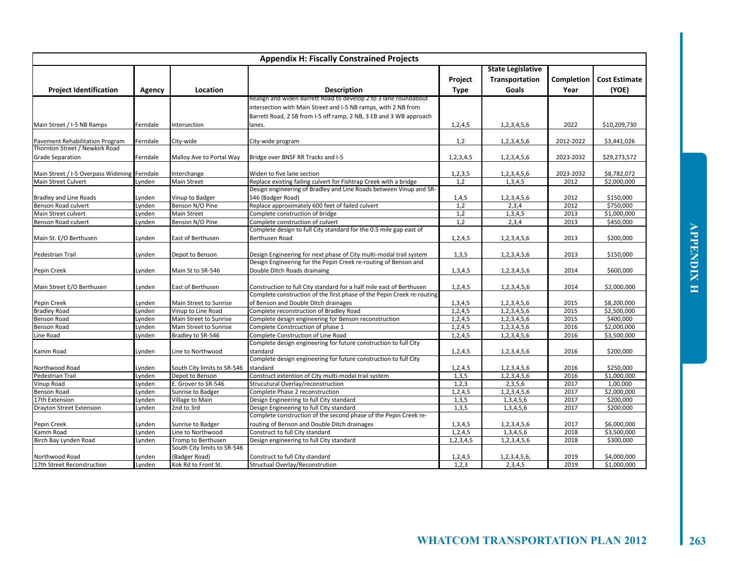| <b>Appendix H: Fiscally Constrained Projects</b>                    |               |                             |                                                                                                 |                   |                                                     |                    |                               |  |
|---------------------------------------------------------------------|---------------|-----------------------------|-------------------------------------------------------------------------------------------------|-------------------|-----------------------------------------------------|--------------------|-------------------------------|--|
| <b>Project Identification</b>                                       | <b>Agency</b> | Location                    | <b>Description</b>                                                                              | Project<br>Type   | <b>State Legislative</b><br>Transportation<br>Goals | Completion<br>Year | <b>Cost Estimate</b><br>(YOE) |  |
|                                                                     |               |                             | Realign and widen Barrett Road to develop 2 to 3 lane roundabout                                |                   |                                                     |                    |                               |  |
|                                                                     |               |                             | intersection with Main Street and I-5 NB ramps, with 2 NB from                                  |                   |                                                     |                    |                               |  |
|                                                                     |               |                             | Barrett Road, 2 SB from I-5 off ramp, 2 NB, 3 EB and 3 WB approach                              |                   |                                                     |                    |                               |  |
| Main Street / I-5 NB Ramps                                          | Ferndale      | Intersection                | anes.                                                                                           | 1, 2, 4, 5        | 1,2,3,4,5,6                                         | 2022               | \$10,209,730                  |  |
|                                                                     |               |                             |                                                                                                 |                   |                                                     |                    |                               |  |
| Pavement Rehabilitation Program                                     | Ferndale      | City-wide                   | City-wide program                                                                               | 1,2               | 1,2,3,4,5,6                                         | 2012-2022          | \$3,441,026                   |  |
| Thornton Street / Newkirk Road                                      |               |                             |                                                                                                 |                   |                                                     |                    |                               |  |
| <b>Grade Separation</b>                                             | Ferndale      | Malloy Ave to Portal Way    | Bridge over BNSF RR Tracks and I-5                                                              | 1,2,3,4,5         | 1,2,3,4,5,6                                         | 2023-2032          | \$29,273,572                  |  |
|                                                                     |               |                             |                                                                                                 |                   |                                                     |                    |                               |  |
| Main Street / I-5 Overpass Widening Ferndale<br>Main Street Culvert | Lynden        | Interchange<br>Main Street  | Widen to five lane section<br>Replace existing failing culvert for Fishtrap Creek with a bridge | 1, 2, 3, 5<br>1,2 | 1,2,3,4,5,6                                         | 2023-2032<br>2012  | \$8,782,072                   |  |
|                                                                     |               |                             | Design engineering of Bradley and Line Roads between Vinup and SR-                              |                   | 1,3,4,5                                             |                    | \$2,000,000                   |  |
| <b>Bradley and Line Roads</b>                                       | Lynden        | Vinup to Badger             | 546 (Badger Road)                                                                               | 1,4,5             | 1,2,3,4,5,6                                         | 2012               | \$150,000                     |  |
| Benson Road culvert                                                 | Lynden        | Benson N/O Pine             | Replace approximately 600 feet of failed culvert                                                | 1,2               | 2,3,4                                               | 2012               | \$750,000                     |  |
| Main Street culvert                                                 | Lynden        | <b>Main Street</b>          | Complete construction of bridge                                                                 | 1,2               | 1,3,4,5                                             | 2013               | \$1,000,000                   |  |
| Benson Road culvert                                                 | Lynden        | Benson N/O Pine             | Complete construction of culvert                                                                | 1,2               | 2,3,4                                               | 2013               | \$450,000                     |  |
|                                                                     |               |                             | Complete design to full City standard for the 0.5 mile gap east of                              |                   |                                                     |                    |                               |  |
| Main St. E/O Berthusen                                              |               | East of Berthusen           | Berthusen Road                                                                                  |                   |                                                     | 2013               | \$200,000                     |  |
|                                                                     | Lynden        |                             |                                                                                                 | 1, 2, 4, 5        | 1,2,3,4,5,6                                         |                    |                               |  |
| Pedestrian Trail                                                    | Lynden        | Depot to Benson             | Design Engineering for next phase of City multi-modal trail system                              | 1,3,5             | 1,2,3,4,5,6                                         | 2013               | \$150,000                     |  |
|                                                                     |               |                             | Design Engineering for the Pepin Creek re-routing of Benson and                                 |                   |                                                     |                    |                               |  |
| Pepin Creek                                                         | Lynden        | Main St to SR-546           | Double Ditch Roads drainaing                                                                    | 1,3,4,5           | 1,2,3,4,5,6                                         | 2014               | \$600,000                     |  |
|                                                                     |               |                             |                                                                                                 |                   |                                                     |                    |                               |  |
| Main Street E/O Berthusen                                           | Lynden        | East of Berthusen           | Construction to full City standard for a half mile east of Berthusen                            | 1, 2, 4, 5        | 1,2,3,4,5,6                                         | 2014               | \$2,000,000                   |  |
|                                                                     |               |                             | Complete construction of the first phase of the Pepin Creek re-routing                          |                   |                                                     |                    |                               |  |
| Pepin Creek                                                         | Lynden        | Main Street to Sunrise      | of Benson and Double Ditch drainages                                                            | 1,3,4,5           | 1,2,3,4,5,6                                         | 2015               | \$8,200,000                   |  |
| <b>Bradley Road</b>                                                 | Lynden        | Vinup to Line Road          | Complete reconstruction of Bradley Road                                                         | 1,2,4,5           | 1,2,3,4,5,6                                         | 2015               | \$2,500,000                   |  |
| Benson Road                                                         | Lynden        | Main Street to Sunrise      | Complete design engineering for Benson reconstruction                                           | 1, 2, 4, 5        | 1,2,3,4,5,6                                         | 2015               | \$400,000                     |  |
| Benson Road                                                         | Lynden        | Main Street to Sunrise      | Complete Constrcuction of phase 1                                                               | 1, 2, 4, 5        | 1, 2, 3, 4, 5, 6                                    | 2016               | \$2,000,000                   |  |
| Line Road                                                           | .ynden        | Bradley to SR-546           | Complete Construction of Line Road                                                              | 1, 2, 4, 5        | 1,2,3,4,5,6                                         | 2016               | \$3,500,000                   |  |
|                                                                     |               |                             | Complete design engineering for future construction to full City                                |                   |                                                     |                    |                               |  |
| Kamm Road                                                           | Lynden        | Line to Northwood           | standard                                                                                        | 1, 2, 4, 5        | 1,2,3,4,5,6                                         | 2016               | \$200,000                     |  |
|                                                                     |               |                             | Complete design engineering for future construction to full City                                |                   |                                                     |                    |                               |  |
| Northwood Road                                                      | Lynden        | South City limits to SR-546 | standard                                                                                        | 1,2,4,5           | 1,2,3,4,5,6                                         | 2016               | \$250,000                     |  |
| Pedestrian Trail                                                    | Lynden        | Depot to Benson             | Construct extention of City multi-modal trail system                                            | 1,3,5             | 1,2,3,4,5,6                                         | 2016               | \$1,000,000                   |  |
| Vinup Road                                                          | Lynden        | E. Grover to SR-546         | Strucutural Overlay/reconstruction                                                              | 1,2,3             | 2,3,5,6                                             | 2017               | 1,00,000                      |  |
| Benson Road                                                         | Lynden        | Sunrise to Badger           | Complete Phase 2 reconstruction                                                                 | 1, 2, 4, 5        | 1, 2, 3, 4, 5, 6                                    | 2017               | \$2,000,000                   |  |
| 17th Extension                                                      | Lynden        | Village to Main             | Design Engineering to full City standard                                                        | 1,3,5             | 1,3,4,5,6                                           | 2017               | \$200,000                     |  |
| Drayton Street Extension                                            | Lynden        | 2nd to 3rd                  | Design Engineering to full City standard                                                        | 1,3,5             | 1,3,4,5,6                                           | 2017               | \$200,000                     |  |
|                                                                     |               |                             | Complete construction of the second phase of the Pepin Creek re-                                |                   |                                                     |                    |                               |  |
| Pepin Creek                                                         | Lynden        | Sunrise to Badger           | routing of Benson and Double Ditch drainages                                                    | 1,3,4,5           | 1,2,3,4,5,6                                         | 2017               | \$6,000,000                   |  |
| Kamm Road                                                           | Lynden        | Line to Northwood           | Construct to full City standard                                                                 | 1, 2, 4, 5        | 1,3,4,5,6                                           | 2018               | \$3,500,000                   |  |
| Birch Bay Lynden Road                                               | Lynden        | Tromp to Berthusen          | Design engineering to full City standard                                                        | 1,2,3,4,5         | 1,2,3,4,5,6                                         | 2018               | \$300,000                     |  |
|                                                                     |               | South City limits to SR-546 |                                                                                                 |                   |                                                     |                    |                               |  |
| Northwood Road                                                      | Lynden        | (Badger Road)               | Construct to full City standard                                                                 | 1, 2, 4, 5        | 1,2,3,4,5,6,                                        | 2019               | \$4,000,000                   |  |
| 17th Street Reconstruction                                          | Lynden        | Kok Rd to Front St.         | Structual Overlay/Reconstrution                                                                 | 1,2,3             | 2,3,4,5                                             | 2019               | \$1,000,000                   |  |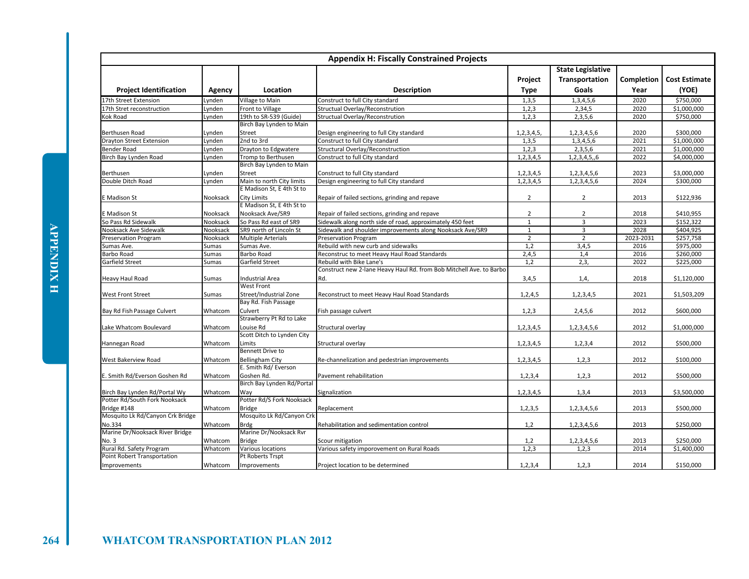|                                  |          |                            | <b>Appendix H: Fiscally Constrained Projects</b>                    |                |                                                   |            |                      |
|----------------------------------|----------|----------------------------|---------------------------------------------------------------------|----------------|---------------------------------------------------|------------|----------------------|
|                                  |          |                            |                                                                     | Project        | <b>State Legislative</b><br><b>Transportation</b> | Completion | <b>Cost Estimate</b> |
| <b>Project Identification</b>    | Agency   | Location                   | <b>Description</b>                                                  | <b>Type</b>    | Goals                                             | Year       | (YOE)                |
| 17th Street Extension            | Lynden   | Village to Main            | Construct to full City standard                                     | 1,3,5          | 1,3,4,5,6                                         | 2020       | \$750,000            |
| 17th Stret reconstruction        | Lynden   | Front to Village           | Structual Overlay/Reconstrution                                     | 1,2,3          | 2,34,5                                            | 2020       | \$1,000,000          |
| Kok Road                         | Lynden   | 19th to SR-539 (Guide)     | Structual Overlay/Reconstrution                                     | 1,2,3          | 2,3,5,6                                           | 2020       | \$750,000            |
|                                  |          | Birch Bay Lynden to Main   |                                                                     |                |                                                   |            |                      |
| Berthusen Road                   | Lynden   | Street                     | Design engineering to full City standard                            | 1, 2, 3, 4, 5  | 1,2,3,4,5,6                                       | 2020       | \$300.000            |
| <b>Drayton Street Extension</b>  | Lynden   | 2nd to 3rd                 | Construct to full City standard                                     | 1,3,5          | 1,3,4,5,6                                         | 2021       | \$1,000,000          |
| <b>Bender Road</b>               | Lynden   | Drayton to Edgwatere       | Structural Overlay/Reconstruction                                   | 1,2,3          | 2,3,5,6                                           | 2021       | \$1,000,000          |
| Birch Bay Lynden Road            | Lynden   | Tromp to Berthusen         | Construct to full City standard                                     | 1, 2, 3, 4, 5  | 1, 2, 3, 4, 5, 6                                  | 2022       | \$4,000,000          |
|                                  |          | Birch Bay Lynden to Main   |                                                                     |                |                                                   |            |                      |
| Berthusen                        | Lynden   | Street                     | Construct to full City standard                                     | 1,2,3,4,5      | 1,2,3,4,5,6                                       | 2023       | \$3,000,000          |
| Double Ditch Road                | Lynden   | Main to north City limits  | Design engineering to full City standard                            | 1, 2, 3, 4, 5  | 1,2,3,4,5,6                                       | 2024       | \$300,000            |
|                                  |          | E Madison St. E 4th St to  |                                                                     |                |                                                   |            |                      |
| E Madison St                     | Nooksack | <b>City Limits</b>         | Repair of failed sections, grinding and repave                      | $\overline{2}$ | $\overline{2}$                                    | 2013       | \$122,936            |
|                                  |          | E Madison St, E 4th St to  |                                                                     |                |                                                   |            |                      |
| E Madison St                     | Nooksack | Nooksack Ave/SR9           | Repair of failed sections, grinding and repave                      | $\overline{2}$ | $\overline{2}$                                    | 2018       | \$410,955            |
| So Pass Rd Sidewalk              | Nooksack | So Pass Rd east of SR9     | Sidewalk along north side of road, approximately 450 feet           | $\mathbf 1$    | 3                                                 | 2023       | \$152,322            |
| Nooksack Ave Sidewalk            | Nooksack | SR9 north of Lincoln St    | Sidewalk and shoulder improvements along Nooksack Ave/SR9           | $\mathbf{1}$   | $\overline{3}$                                    | 2028       | \$404,925            |
| <b>Preservation Program</b>      | Nooksack | <b>Multiple Arterials</b>  | Preservation Program                                                | $\overline{2}$ | $\overline{2}$                                    | 2023-2031  | \$257,758            |
| Sumas Ave.                       | Sumas    | Sumas Ave.                 | Rebuild with new curb and sidewalks                                 | 1,2            | 3,4,5                                             | 2016       | \$975,000            |
| <b>Barbo Road</b>                | Sumas    | Barbo Road                 | Reconstruc to meet Heavy Haul Road Standards                        | 2,4,5          | 1,4                                               | 2016       | \$260,000            |
| <b>Garfield Street</b>           | Sumas    | Garfield Street            | Rebuild with Bike Lane's                                            | 1,2            | 2,3,                                              | 2022       | \$225,000            |
|                                  |          |                            | Construct new 2-lane Heavy Haul Rd. from Bob Mitchell Ave. to Barbo |                |                                                   |            |                      |
| <b>Heavy Haul Road</b>           | Sumas    | <b>Industrial Area</b>     | Rd.                                                                 | 3,4,5          | 1,4,                                              | 2018       | \$1,120,000          |
|                                  |          | <b>West Front</b>          |                                                                     |                |                                                   |            |                      |
| <b>West Front Street</b>         | Sumas    | Street/Industrial Zone     | Reconstruct to meet Heavy Haul Road Standards                       | 1,2,4,5        | 1,2,3,4,5                                         | 2021       | \$1,503,209          |
|                                  |          | Bay Rd. Fish Passage       |                                                                     |                |                                                   |            |                      |
| Bay Rd Fish Passage Culvert      | Whatcom  | Culvert                    | Fish passage culvert                                                | 1, 2, 3        | 2,4,5,6                                           | 2012       | \$600,000            |
|                                  |          | Strawberry Pt Rd to Lake   |                                                                     |                |                                                   |            |                      |
| Lake Whatcom Boulevard           | Whatcom  | Louise Rd                  | Structural overlay                                                  | 1,2,3,4,5      | 1,2,3,4,5,6                                       | 2012       | \$1,000,000          |
|                                  |          | Scott Ditch to Lynden City |                                                                     |                |                                                   |            |                      |
| Hannegan Road                    | Whatcom  | Limits                     | Structural overlay                                                  | 1,2,3,4,5      | 1, 2, 3, 4                                        | 2012       | \$500,000            |
|                                  |          | <b>Bennett Drive to</b>    |                                                                     |                |                                                   |            |                      |
| West Bakerview Road              | Whatcom  | Bellingham City            | Re-channelization and pedestrian improvements                       | 1,2,3,4,5      | 1,2,3                                             | 2012       | \$100,000            |
|                                  |          | E. Smith Rd/ Everson       |                                                                     |                |                                                   |            |                      |
| E. Smith Rd/Everson Goshen Rd    | Whatcom  | Goshen Rd.                 | Pavement rehabilitation                                             | 1,2,3,4        | 1,2,3                                             | 2012       | \$500,000            |
|                                  |          | Birch Bay Lynden Rd/Portal |                                                                     |                |                                                   |            |                      |
| Birch Bay Lynden Rd/Portal Wy    | Whatcom  | Way                        | Signalization                                                       | 1, 2, 3, 4, 5  | 1,3,4                                             | 2013       | \$3,500,000          |
| Potter Rd/South Fork Nooksack    |          | Potter Rd/S Fork Nooksack  |                                                                     |                |                                                   |            |                      |
| Bridge #148                      | Whatcom  | <b>Bridge</b>              | Replacement                                                         | 1, 2, 3, 5     | 1,2,3,4,5,6                                       | 2013       | \$500,000            |
| Mosquito Lk Rd/Canyon Crk Bridge |          | Mosquito Lk Rd/Canyon Crk  |                                                                     |                |                                                   |            |                      |
| No.334                           | Whatcom  | <b>Brdg</b>                | Rehabilitation and sedimentation control                            | 1,2            | 1,2,3,4,5,6                                       | 2013       | \$250,000            |
| Marine Dr/Nooksack River Bridge  |          | Marine Dr/Nooksack Rvr     |                                                                     |                |                                                   |            |                      |
| No. 3                            | Whatcom  | <b>Bridge</b>              | Scour mitigation                                                    | 1,2            | 1,2,3,4,5,6                                       | 2013       | \$250,000            |
| Rural Rd. Safety Program         | Whatcom  | Various locations          | Various safety imporovement on Rural Roads                          | 1, 2, 3        | 1,2,3                                             | 2014       | \$1,400,000          |
| Point Robert Transportation      |          | Pt Roberts Trspt           |                                                                     |                |                                                   |            |                      |
| Improvements                     | Whatcom  | Improvements               | Project location to be determined                                   | 1, 2, 3, 4     | 1,2,3                                             | 2014       | \$150,000            |
|                                  |          |                            |                                                                     |                |                                                   |            |                      |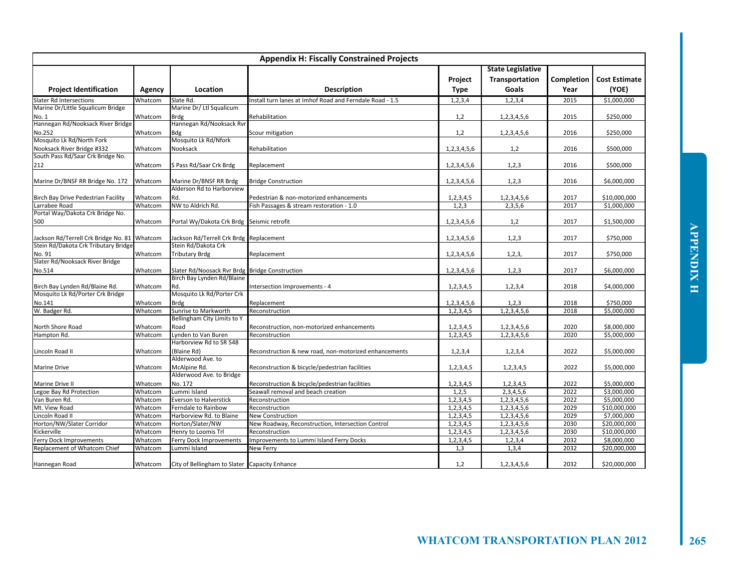| <b>Appendix H: Fiscally Constrained Projects</b>                             |         |                                                                              |                                                          |                        |                                                     |                    |                               |  |
|------------------------------------------------------------------------------|---------|------------------------------------------------------------------------------|----------------------------------------------------------|------------------------|-----------------------------------------------------|--------------------|-------------------------------|--|
| <b>Project Identification</b>                                                | Agency  | Location                                                                     | <b>Description</b>                                       | Project<br><b>Type</b> | <b>State Legislative</b><br>Transportation<br>Goals | Completion<br>Year | <b>Cost Estimate</b><br>(YOE) |  |
| <b>Slater Rd Intersections</b>                                               | Whatcom | Slate Rd.                                                                    | Install turn lanes at Imhof Road and Ferndale Road - 1.5 | 1, 2, 3, 4             | 1, 2, 3, 4                                          | 2015               | \$1,000,000                   |  |
| Marine Dr/Little Squalicum Bridge                                            |         | Marine Dr/ Ltl Squalicum                                                     |                                                          |                        |                                                     |                    |                               |  |
| No. 1                                                                        | Whatcom | <b>Brdg</b>                                                                  | Rehabilitation                                           | 1,2                    | 1,2,3,4,5,6                                         | 2015               | \$250,000                     |  |
| Hannegan Rd/Nooksack River Bridge                                            |         | Hannegan Rd/Nooksack Rvr                                                     |                                                          |                        |                                                     |                    |                               |  |
| No.252                                                                       | Whatcom | Bdg                                                                          | Scour mitigation                                         | 1,2                    | 1,2,3,4,5,6                                         | 2016               | \$250,000                     |  |
| Mosquito Lk Rd/North Fork                                                    |         | Mosquito Lk Rd/Nfork                                                         |                                                          |                        |                                                     |                    |                               |  |
| Nooksack River Bridge #332                                                   | Whatcom | Nooksack                                                                     | Rehabilitation                                           | 1,2,3,4,5,6            | 1,2                                                 | 2016               | \$500,000                     |  |
| South Pass Rd/Saar Crk Bridge No.                                            |         |                                                                              |                                                          |                        |                                                     |                    |                               |  |
| 212                                                                          | Whatcom | S Pass Rd/Saar Crk Brdg                                                      | Replacement                                              | 1,2,3,4,5,6            | 1, 2, 3                                             | 2016               | \$500,000                     |  |
| Marine Dr/BNSF RR Bridge No. 172                                             | Whatcom | Marine Dr/BNSF RR Brdg                                                       | <b>Bridge Construction</b>                               | 1,2,3,4,5,6            | 1,2,3                                               | 2016               | \$6,000,000                   |  |
|                                                                              |         | Alderson Rd to Harborview                                                    |                                                          |                        |                                                     |                    |                               |  |
| Birch Bay Drive Pedestrian Facility                                          | Whatcom | Rd.                                                                          | Pedestrian & non-motorized enhancements                  | 1,2,3,4,5              | 1,2,3,4,5,6                                         | 2017<br>2017       | \$10,000,000                  |  |
| Larrabee Road<br>Portal Way/Dakota Crk Bridge No.                            | Whatcom | NW to Aldrich Rd.                                                            | Fish Passages & stream restoration - 1.0                 | 1,2,3                  | 2,3,5,6                                             |                    | \$1,000,000                   |  |
| 500                                                                          | Whatcom | Portal Wy/Dakota Crk Brdg Seismic retrofit                                   |                                                          | 1,2,3,4,5,6            | 1,2                                                 | 2017               | \$1,500,000                   |  |
|                                                                              |         |                                                                              |                                                          |                        |                                                     |                    |                               |  |
| Jackson Rd/Terrell Crk Bridge No. 81<br>Stein Rd/Dakota Crk Tributary Bridge | Whatcom | Jackson Rd/Terrell Crk Brdg Replacement<br>Stein Rd/Dakota Crk               |                                                          | 1,2,3,4,5,6            | 1, 2, 3                                             | 2017               | \$750,000                     |  |
| No. 91                                                                       | Whatcom | <b>Tributary Brdg</b>                                                        | Replacement                                              | 1,2,3,4,5,6            | 1, 2, 3,                                            | 2017               | \$750,000                     |  |
| Slater Rd/Nooksack River Bridge                                              |         |                                                                              |                                                          |                        |                                                     |                    |                               |  |
| No.514                                                                       | Whatcom | Slater Rd/Noosack Rvr Brdg Bridge Construction<br>Birch Bay Lynden Rd/Blaine |                                                          | 1,2,3,4,5,6            | 1,2,3                                               | 2017               | \$6,000,000                   |  |
|                                                                              | Whatcom | Rd.                                                                          |                                                          |                        |                                                     | 2018               |                               |  |
| Birch Bay Lynden Rd/Blaine Rd.<br>Mosquito Lk Rd/Porter Crk Bridge           |         | Mosquito Lk Rd/Porter Crk                                                    | Intersection Improvements - 4                            | 1, 2, 3, 4, 5          | 1, 2, 3, 4                                          |                    | \$4,000,000                   |  |
| No.141                                                                       | Whatcom | <b>Brdg</b>                                                                  | Replacement                                              | 1,2,3,4,5,6            | 1,2,3                                               | 2018               | \$750,000                     |  |
| W. Badger Rd.                                                                | Whatcom | Sunrise to Markworth                                                         | Reconstruction                                           | 1,2,3,4,5              | 1,2,3,4,5,6                                         | 2018               | \$5,000,000                   |  |
|                                                                              |         | Bellingham City Limits to Y                                                  |                                                          |                        |                                                     |                    |                               |  |
| North Shore Road                                                             | Whatcom | Road                                                                         | Reconstruction, non-motorized enhancements               | 1, 2, 3, 4, 5          | 1,2,3,4,5,6                                         | 2020               | \$8,000,000                   |  |
| Hampton Rd.                                                                  | Whatcom | Lynden to Van Buren                                                          | Reconstruction                                           | 1, 2, 3, 4, 5          | 1,2,3,4,5,6                                         | 2020               | \$5,000,000                   |  |
|                                                                              |         | Harborview Rd to SR 548                                                      |                                                          |                        |                                                     |                    |                               |  |
| Lincoln Road II                                                              | Whatcom | (Blaine Rd)                                                                  | Reconstruction & new road, non-motorized enhancements    | 1, 2, 3, 4             | 1, 2, 3, 4                                          | 2022               | \$5,000,000                   |  |
|                                                                              |         | Alderwood Ave. to                                                            |                                                          |                        |                                                     |                    |                               |  |
| <b>Marine Drive</b>                                                          | Whatcom | McAlpine Rd.                                                                 | Reconstruction & bicycle/pedestrian facilities           | 1, 2, 3, 4, 5          | 1, 2, 3, 4, 5                                       | 2022               | \$5,000,000                   |  |
|                                                                              |         | Alderwood Ave. to Bridge                                                     |                                                          |                        |                                                     |                    |                               |  |
| Marine Drive II                                                              | Whatcom | No. 172                                                                      | Reconstruction & bicycle/pedestrian facilities           | 1,2,3,4,5              | 1,2,3,4,5                                           | 2022               | \$5,000,000                   |  |
| Legoe Bay Rd Protection                                                      | Whatcom | Lummi Island                                                                 | Seawall removal and beach creation                       | 1,2,5                  | 2,3,4,5,6                                           | 2022               | \$3,000,000                   |  |
| Van Buren Rd.                                                                | Whatcom | <b>Everson to Halverstick</b>                                                | Reconstruction                                           | 1,2,3,4,5              | 1,2,3,4,5,6                                         | 2022               | \$5,000,000                   |  |
| Mt. View Road                                                                | Whatcom | Ferndale to Rainbow                                                          | Reconstruction                                           | 1, 2, 3, 4, 5          | 1,2,3,4,5,6                                         | 2029               | \$10,000,000                  |  |
| Lincoln Road II                                                              | Whatcom | Harborview Rd. to Blaine                                                     | <b>New Construction</b>                                  | 1, 2, 3, 4, 5          | 1,2,3,4,5,6                                         | 2029               | \$7,000,000                   |  |
| Horton/NW/Slater Corridor                                                    | Whatcom | Horton/Slater/NW                                                             | New Roadway, Reconstruction, Intersection Control        | 1, 2, 3, 4, 5          | 1,2,3,4,5,6                                         | 2030               | \$20,000,000                  |  |
| Kickerville                                                                  | Whatcom | Henry to Loomis Trl                                                          | Reconstruction                                           | 1,2,3,4,5              | 1,2,3,4,5,6                                         | 2030               | \$10,000,000                  |  |
| Ferry Dock Improvements                                                      | Whatcom | Ferry Dock Improvements                                                      | Improvements to Lummi Island Ferry Docks                 | 1, 2, 3, 4, 5          | 1, 2, 3, 4                                          | 2032               | \$8,000,000                   |  |
| Replacement of Whatcom Chief                                                 | Whatcom | ummi Island                                                                  | New Ferry                                                | 1,3                    | 1,3,4                                               | 2032               | \$20,000,000                  |  |
| Hannegan Road                                                                | Whatcom | City of Bellingham to Slater Capacity Enhance                                |                                                          | 1,2                    | 1,2,3,4,5,6                                         | 2032               | \$20,000,000                  |  |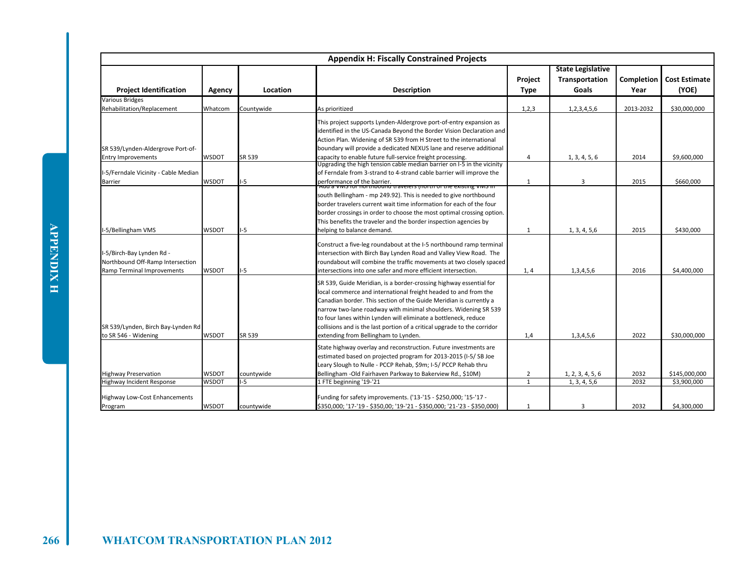|                                                                                                    |                              |                    | <b>Appendix H: Fiscally Constrained Projects</b>                                                                                                                                                                                                                                                                                                                                                                                                                      |                                |                                                     |                    |                               |
|----------------------------------------------------------------------------------------------------|------------------------------|--------------------|-----------------------------------------------------------------------------------------------------------------------------------------------------------------------------------------------------------------------------------------------------------------------------------------------------------------------------------------------------------------------------------------------------------------------------------------------------------------------|--------------------------------|-----------------------------------------------------|--------------------|-------------------------------|
| <b>Project Identification</b>                                                                      | Agency                       | Location           | <b>Description</b>                                                                                                                                                                                                                                                                                                                                                                                                                                                    | Project<br><b>Type</b>         | <b>State Legislative</b><br>Transportation<br>Goals | Completion<br>Year | <b>Cost Estimate</b><br>(YOE) |
| <b>Various Bridges</b><br>Rehabilitation/Replacement                                               | Whatcom                      | Countvwide         | As prioritized                                                                                                                                                                                                                                                                                                                                                                                                                                                        | 1, 2, 3                        | 1,2,3,4,5,6                                         | 2013-2032          | \$30,000,000                  |
| SR 539/Lynden-Aldergrove Port-of-                                                                  |                              |                    | This project supports Lynden-Aldergrove port-of-entry expansion as<br>identified in the US-Canada Beyond the Border Vision Declaration and<br>Action Plan. Widening of SR 539 from H Street to the international<br>boundary will provide a dedicated NEXUS lane and reserve additional                                                                                                                                                                               |                                |                                                     |                    |                               |
| <b>Entry Improvements</b>                                                                          | <b>WSDOT</b>                 | SR 539             | capacity to enable future full-service freight processing.<br>Upgrading the high tension cable median barrier on I-5 in the vicinity                                                                                                                                                                                                                                                                                                                                  | 4                              | 1, 3, 4, 5, 6                                       | 2014               | \$9,600,000                   |
| I-5/Ferndale Vicinity - Cable Median<br>Barrier                                                    | <b>WSDOT</b>                 | $-5$               | of Ferndale from 3-strand to 4-strand cable barrier will improve the<br>performance of the barrier.                                                                                                                                                                                                                                                                                                                                                                   | $\mathbf{1}$                   | 3                                                   | 2015               | \$660,000                     |
| I-5/Bellingham VMS                                                                                 | <b>WSDOT</b>                 | $-5$               | Add a vivis for northbound travelers (north or the existing vivis in<br>south Bellingham - mp 249.92). This is needed to give northbound<br>border travelers current wait time information for each of the four<br>border crossings in order to choose the most optimal crossing option.<br>This benefits the traveler and the border inspection agencies by<br>helping to balance demand.                                                                            | 1                              | 1, 3, 4, 5, 6                                       | 2015               | \$430.000                     |
| I-5/Birch-Bay Lynden Rd -<br>Northbound Off-Ramp Intersection<br><b>Ramp Terminal Improvements</b> | <b>WSDOT</b>                 | I-5                | Construct a five-leg roundabout at the I-5 northbound ramp terminal<br>intersection with Birch Bay Lynden Road and Valley View Road. The<br>roundabout will combine the traffic movements at two closely spaced<br>intersections into one safer and more efficient intersection.                                                                                                                                                                                      | 1, 4                           | 1,3,4,5,6                                           | 2016               | \$4,400,000                   |
| SR 539/Lynden, Birch Bay-Lynden Rd<br>to SR 546 - Widening                                         | <b>WSDOT</b>                 | SR 539             | SR 539, Guide Meridian, is a border-crossing highway essential for<br>local commerce and international freight headed to and from the<br>Canadian border. This section of the Guide Meridian is currently a<br>narrow two-lane roadway with minimal shoulders. Widening SR 539<br>to four lanes within Lynden will eliminate a bottleneck, reduce<br>collisions and is the last portion of a critical upgrade to the corridor<br>extending from Bellingham to Lynden. | 1,4                            | 1,3,4,5,6                                           | 2022               | \$30,000,000                  |
|                                                                                                    |                              |                    | State highway overlay and reconstruction. Future investments are<br>estimated based on projected program for 2013-2015 (I-5/SB Joe<br>Leary Slough to Nulle - PCCP Rehab, \$9m; I-5/ PCCP Rehab thru                                                                                                                                                                                                                                                                  |                                |                                                     |                    |                               |
| <b>Highway Preservation</b><br>Highway Incident Response                                           | <b>WSDOT</b><br><b>WSDOT</b> | countywide<br>$-5$ | Bellingham - Old Fairhaven Parkway to Bakerview Rd., \$10M)<br>1 FTE beginning '19-'21                                                                                                                                                                                                                                                                                                                                                                                | $\overline{2}$<br>$\mathbf{1}$ | 1, 2, 3, 4, 5, 6<br>1, 3, 4, 5, 6                   | 2032<br>2032       | \$145,000,000<br>\$3,900,000  |
| <b>Highway Low-Cost Enhancements</b><br>Program                                                    | <b>WSDOT</b>                 | countywide         | Funding for safety improvements. ('13-'15 - \$250,000; '15-'17 -<br>\$350,000; '17-'19 - \$350,00; '19-'21 - \$350,000; '21-'23 - \$350,000)                                                                                                                                                                                                                                                                                                                          | 1                              | 3                                                   | 2032               | \$4.300.000                   |